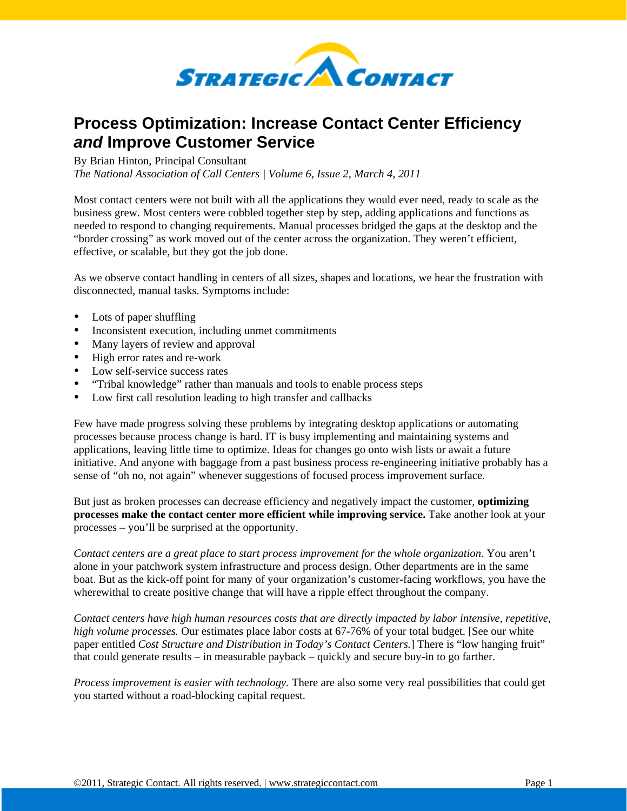

## **Process Optimization: Increase Contact Center Efficiency**  *and* **Improve Customer Service**

By Brian Hinton, Principal Consultant

*The National Association of Call Centers | Volume 6, Issue 2, March 4, 2011*

Most contact centers were not built with all the applications they would ever need, ready to scale as the business grew. Most centers were cobbled together step by step, adding applications and functions as needed to respond to changing requirements. Manual processes bridged the gaps at the desktop and the "border crossing" as work moved out of the center across the organization. They weren't efficient, effective, or scalable, but they got the job done.

As we observe contact handling in centers of all sizes, shapes and locations, we hear the frustration with disconnected, manual tasks. Symptoms include:

- Lots of paper shuffling
- Inconsistent execution, including unmet commitments
- Many layers of review and approval
- High error rates and re-work
- Low self-service success rates
- "Tribal knowledge" rather than manuals and tools to enable process steps
- Low first call resolution leading to high transfer and callbacks

Few have made progress solving these problems by integrating desktop applications or automating processes because process change is hard. IT is busy implementing and maintaining systems and applications, leaving little time to optimize. Ideas for changes go onto wish lists or await a future initiative. And anyone with baggage from a past business process re-engineering initiative probably has a sense of "oh no, not again" whenever suggestions of focused process improvement surface.

But just as broken processes can decrease efficiency and negatively impact the customer, **optimizing processes make the contact center more efficient while improving service.** Take another look at your processes – you'll be surprised at the opportunity.

*Contact centers are a great place to start process improvement for the whole organization.* You aren't alone in your patchwork system infrastructure and process design. Other departments are in the same boat. But as the kick-off point for many of your organization's customer-facing workflows, you have the wherewithal to create positive change that will have a ripple effect throughout the company.

*Contact centers have high human resources costs that are directly impacted by labor intensive, repetitive, high volume processes.* Our estimates place labor costs at 67-76% of your total budget. [See our white paper entitled *[Cost Structure and Distribution in Today's Contact Centers.](http://info.strategiccontact.com/cost-white-paper-2008/)*] There is "low hanging fruit" that could generate results – in measurable payback – quickly and secure buy-in to go farther.

*Process improvement is easier with technology.* There are also some very real possibilities that could get you started without a road-blocking capital request.